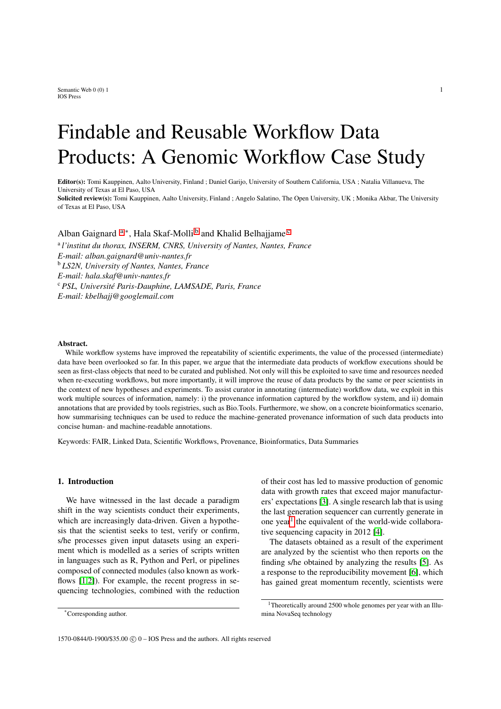Semantic Web  $0(0)$  1 1 IOS Press

# Findable and Reusable Workflow Data Products: A Genomic Workflow Case Study

Editor(s): Tomi Kauppinen, Aalto University, Finland ; Daniel Garijo, University of Southern California, USA ; Natalia Villanueva, The University of Texas at El Paso, USA

Solicited review(s): Tomi Kauppinen, Aalto University, Finland ; Angelo Salatino, The Open University, UK ; Monika Akbar, The University of Texas at El Paso, USA

<span id="page-0-0"></span>Alb[a](#page-0-0)n Gaignard a,\*, Hala Skaf-Molli [b](#page-0-1) and Khalid Belhajjame <sup>[c](#page-0-2)</sup>

<span id="page-0-2"></span><span id="page-0-1"></span>a *l'institut du thorax, INSERM, CNRS, University of Nantes, Nantes, France E-mail: alban.gaignard@univ-nantes.fr* <sup>b</sup> *LS2N, University of Nantes, Nantes, France E-mail: hala.skaf@univ-nantes.fr* <sup>c</sup> *PSL, Université Paris-Dauphine, LAMSADE, Paris, France E-mail: kbelhajj@googlemail.com*

#### Abstract.

While workflow systems have improved the repeatability of scientific experiments, the value of the processed (intermediate) data have been overlooked so far. In this paper, we argue that the intermediate data products of workflow executions should be seen as first-class objects that need to be curated and published. Not only will this be exploited to save time and resources needed when re-executing workflows, but more importantly, it will improve the reuse of data products by the same or peer scientists in the context of new hypotheses and experiments. To assist curator in annotating (intermediate) workflow data, we exploit in this work multiple sources of information, namely: i) the provenance information captured by the workflow system, and ii) domain annotations that are provided by tools registries, such as Bio.Tools. Furthermore, we show, on a concrete bioinformatics scenario, how summarising techniques can be used to reduce the machine-generated provenance information of such data products into concise human- and machine-readable annotations.

Keywords: FAIR, Linked Data, Scientific Workflows, Provenance, Bioinformatics, Data Summaries

#### 1. Introduction

We have witnessed in the last decade a paradigm shift in the way scientists conduct their experiments, which are increasingly data-driven. Given a hypothesis that the scientist seeks to test, verify or confirm, s/he processes given input datasets using an experiment which is modelled as a series of scripts written in languages such as R, Python and Perl, or pipelines composed of connected modules (also known as workflows  $[1,2]$  $[1,2]$ ). For example, the recent progress in sequencing technologies, combined with the reduction of their cost has led to massive production of genomic data with growth rates that exceed major manufacturers' expectations [\[3\]](#page-11-2). A single research lab that is using the last generation sequencer can currently generate in one year<sup>[1](#page-0-3)</sup> the equivalent of the world-wide collaborative sequencing capacity in 2012 [\[4\]](#page-11-3).

The datasets obtained as a result of the experiment are analyzed by the scientist who then reports on the finding s/he obtained by analyzing the results [\[5\]](#page-11-4). As a response to the reproducibility movement [\[6\]](#page-11-5), which has gained great momentum recently, scientists were

<sup>\*</sup>Corresponding author.

<span id="page-0-3"></span><sup>&</sup>lt;sup>1</sup>Theoretically around 2500 whole genomes per year with an Illumina NovaSeq technology

<sup>1570-0844/0-1900/\$35.00</sup>  $\odot$  0 – IOS Press and the authors. All rights reserved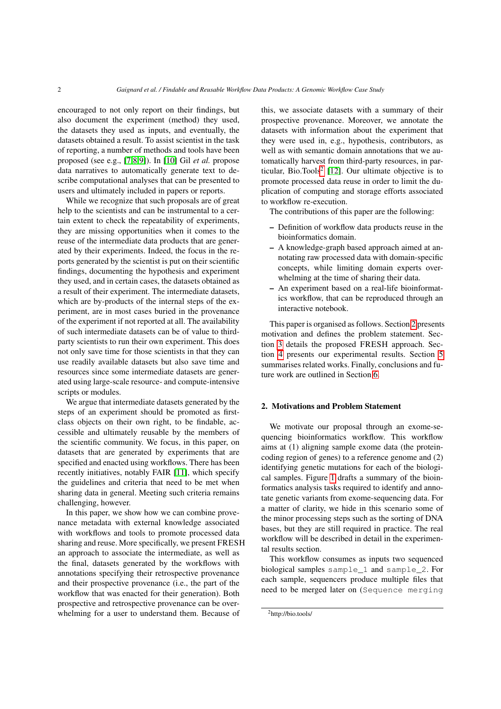encouraged to not only report on their findings, but also document the experiment (method) they used, the datasets they used as inputs, and eventually, the datasets obtained a result. To assist scientist in the task of reporting, a number of methods and tools have been proposed (see e.g., [\[7](#page-11-6)[,8,](#page-11-7)[9\]](#page-11-8)). In [\[10\]](#page-11-9) Gil *et al.* propose data narratives to automatically generate text to describe computational analyses that can be presented to users and ultimately included in papers or reports.

While we recognize that such proposals are of great help to the scientists and can be instrumental to a certain extent to check the repeatability of experiments, they are missing opportunities when it comes to the reuse of the intermediate data products that are generated by their experiments. Indeed, the focus in the reports generated by the scientist is put on their scientific findings, documenting the hypothesis and experiment they used, and in certain cases, the datasets obtained as a result of their experiment. The intermediate datasets, which are by-products of the internal steps of the experiment, are in most cases buried in the provenance of the experiment if not reported at all. The availability of such intermediate datasets can be of value to thirdparty scientists to run their own experiment. This does not only save time for those scientists in that they can use readily available datasets but also save time and resources since some intermediate datasets are generated using large-scale resource- and compute-intensive scripts or modules.

We argue that intermediate datasets generated by the steps of an experiment should be promoted as firstclass objects on their own right, to be findable, accessible and ultimately reusable by the members of the scientific community. We focus, in this paper, on datasets that are generated by experiments that are specified and enacted using workflows. There has been recently initiatives, notably FAIR [\[11\]](#page-11-10), which specify the guidelines and criteria that need to be met when sharing data in general. Meeting such criteria remains challenging, however.

In this paper, we show how we can combine provenance metadata with external knowledge associated with workflows and tools to promote processed data sharing and reuse. More specifically, we present FRESH an approach to associate the intermediate, as well as the final, datasets generated by the workflows with annotations specifying their retrospective provenance and their prospective provenance (i.e., the part of the workflow that was enacted for their generation). Both prospective and retrospective provenance can be overwhelming for a user to understand them. Because of

this, we associate datasets with a summary of their prospective provenance. Moreover, we annotate the datasets with information about the experiment that they were used in, e.g., hypothesis, contributors, as well as with semantic domain annotations that we automatically harvest from third-party resources, in par-ticular, Bio.Tools<sup>[2](#page-1-0)</sup> [\[12\]](#page-11-11). Our ultimate objective is to promote processed data reuse in order to limit the duplication of computing and storage efforts associated to workflow re-execution.

The contributions of this paper are the following:

- Definition of workflow data products reuse in the bioinformatics domain.
- A knowledge-graph based approach aimed at annotating raw processed data with domain-specific concepts, while limiting domain experts overwhelming at the time of sharing their data.
- An experiment based on a real-life bioinformatics workflow, that can be reproduced through an interactive notebook.

This paper is organised as follows. Section [2](#page-1-1) presents motivation and defines the problem statement. Section [3](#page-3-0) details the proposed FRESH approach. Section [4](#page-5-0) presents our experimental results. Section [5](#page-8-0) summarises related works. Finally, conclusions and future work are outlined in Section [6.](#page-10-0)

#### <span id="page-1-1"></span>2. Motivations and Problem Statement

We motivate our proposal through an exome-sequencing bioinformatics workflow. This workflow aims at (1) aligning sample exome data (the proteincoding region of genes) to a reference genome and (2) identifying genetic mutations for each of the biological samples. Figure [1](#page-2-0) drafts a summary of the bioinformatics analysis tasks required to identify and annotate genetic variants from exome-sequencing data. For a matter of clarity, we hide in this scenario some of the minor processing steps such as the sorting of DNA bases, but they are still required in practice. The real workflow will be described in detail in the experimental results section.

This workflow consumes as inputs two sequenced biological samples sample\_1 and sample\_2. For each sample, sequencers produce multiple files that need to be merged later on (Sequence merging

<span id="page-1-0"></span><sup>2</sup>http://bio.tools/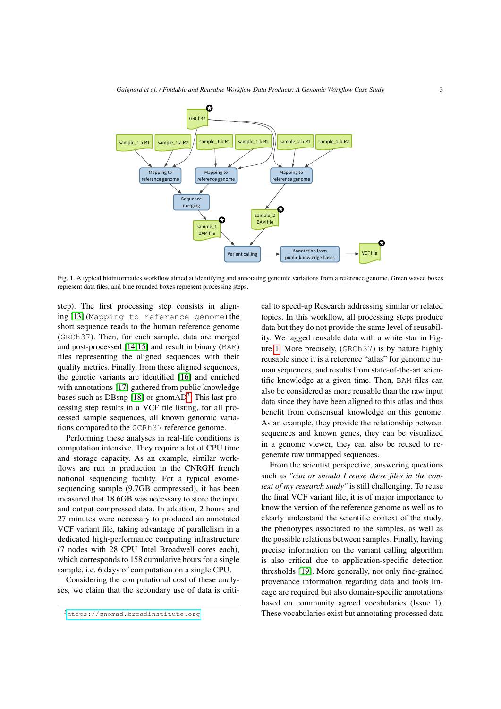

<span id="page-2-0"></span>Fig. 1. A typical bioinformatics workflow aimed at identifying and annotating genomic variations from a reference genome. Green waved boxes represent data files, and blue rounded boxes represent processing steps.

step). The first processing step consists in aligning [\[13\]](#page-11-12) (Mapping to reference genome) the short sequence reads to the human reference genome (GRCh37). Then, for each sample, data are merged and post-processed [\[14](#page-11-13)[,15\]](#page-11-14) and result in binary (BAM) files representing the aligned sequences with their quality metrics. Finally, from these aligned sequences, the genetic variants are identified [\[16\]](#page-11-15) and enriched with annotations [\[17\]](#page-11-16) gathered from public knowledge bases such as DBsnp [\[18\]](#page-11-17) or gnom $AD^3$  $AD^3$ . This last processing step results in a VCF file listing, for all processed sample sequences, all known genomic variations compared to the GCRh37 reference genome.

Performing these analyses in real-life conditions is computation intensive. They require a lot of CPU time and storage capacity. As an example, similar workflows are run in production in the CNRGH french national sequencing facility. For a typical exomesequencing sample (9.7GB compressed), it has been measured that 18.6GB was necessary to store the input and output compressed data. In addition, 2 hours and 27 minutes were necessary to produced an annotated VCF variant file, taking advantage of parallelism in a dedicated high-performance computing infrastructure (7 nodes with 28 CPU Intel Broadwell cores each), which corresponds to 158 cumulative hours for a single sample, i.e. 6 days of computation on a single CPU.

Considering the computational cost of these analyses, we claim that the secondary use of data is critical to speed-up Research addressing similar or related topics. In this workflow, all processing steps produce data but they do not provide the same level of reusability. We tagged reusable data with a white star in Figure [1.](#page-2-0) More precisely, (GRCh37) is by nature highly reusable since it is a reference "atlas" for genomic human sequences, and results from state-of-the-art scientific knowledge at a given time. Then, BAM files can also be considered as more reusable than the raw input data since they have been aligned to this atlas and thus benefit from consensual knowledge on this genome. As an example, they provide the relationship between sequences and known genes, they can be visualized in a genome viewer, they can also be reused to regenerate raw unmapped sequences.

From the scientist perspective, answering questions such as *"can or should I reuse these files in the context of my research study"* is still challenging. To reuse the final VCF variant file, it is of major importance to know the version of the reference genome as well as to clearly understand the scientific context of the study, the phenotypes associated to the samples, as well as the possible relations between samples. Finally, having precise information on the variant calling algorithm is also critical due to application-specific detection thresholds [\[19\]](#page-11-18). More generally, not only fine-grained provenance information regarding data and tools lineage are required but also domain-specific annotations based on community agreed vocabularies (Issue 1). These vocabularies exist but annotating processed data

<span id="page-2-1"></span><sup>3</sup><https://gnomad.broadinstitute.org>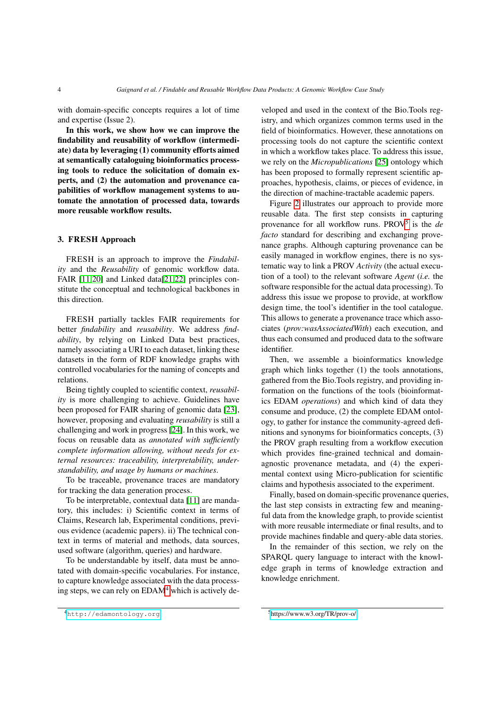with domain-specific concepts requires a lot of time and expertise (Issue 2).

In this work, we show how we can improve the findability and reusability of workflow (intermediate) data by leveraging (1) community efforts aimed at semantically cataloguing bioinformatics processing tools to reduce the solicitation of domain experts, and (2) the automation and provenance capabilities of workflow management systems to automate the annotation of processed data, towards more reusable workflow results.

# <span id="page-3-0"></span>3. FRESH Approach

FRESH is an approach to improve the *Findability* and the *Reusability* of genomic workflow data. FAIR [\[11,](#page-11-10)[20\]](#page-11-19) and Linked data[\[21,](#page-11-20)[22\]](#page-11-21) principles constitute the conceptual and technological backbones in this direction.

FRESH partially tackles FAIR requirements for better *findability* and *reusability*. We address *findability*, by relying on Linked Data best practices, namely associating a URI to each dataset, linking these datasets in the form of RDF knowledge graphs with controlled vocabularies for the naming of concepts and relations.

Being tightly coupled to scientific context, *reusability* is more challenging to achieve. Guidelines have been proposed for FAIR sharing of genomic data [\[23\]](#page-11-22), however, proposing and evaluating *reusability* is still a challenging and work in progress [\[24\]](#page-11-23). In this work, we focus on reusable data as *annotated with sufficiently complete information allowing, without needs for external resources: traceability, interpretability, understandability, and usage by humans or machines*.

To be traceable, provenance traces are mandatory for tracking the data generation process.

To be interpretable, contextual data [\[11\]](#page-11-10) are mandatory, this includes: i) Scientific context in terms of Claims, Research lab, Experimental conditions, previous evidence (academic papers). ii) The technical context in terms of material and methods, data sources, used software (algorithm, queries) and hardware.

To be understandable by itself, data must be annotated with domain-specific vocabularies. For instance, to capture knowledge associated with the data processing steps, we can rely on  $EDAM<sup>4</sup>$  $EDAM<sup>4</sup>$  $EDAM<sup>4</sup>$  which is actively developed and used in the context of the Bio.Tools registry, and which organizes common terms used in the field of bioinformatics. However, these annotations on processing tools do not capture the scientific context in which a workflow takes place. To address this issue, we rely on the *Micropublications* [\[25\]](#page-12-0) ontology which has been proposed to formally represent scientific approaches, hypothesis, claims, or pieces of evidence, in the direction of machine-tractable academic papers.

Figure [2](#page-4-0) illustrates our approach to provide more reusable data. The first step consists in capturing provenance for all workflow runs. PROV<sup>[5](#page-3-2)</sup> is the *de facto* standard for describing and exchanging provenance graphs. Although capturing provenance can be easily managed in workflow engines, there is no systematic way to link a PROV *Activity* (the actual execution of a tool) to the relevant software *Agent* (*i.e.* the software responsible for the actual data processing). To address this issue we propose to provide, at workflow design time, the tool's identifier in the tool catalogue. This allows to generate a provenance trace which associates (*prov:wasAssociatedWith*) each execution, and thus each consumed and produced data to the software identifier.

Then, we assemble a bioinformatics knowledge graph which links together (1) the tools annotations, gathered from the Bio.Tools registry, and providing information on the functions of the tools (bioinformatics EDAM *operations*) and which kind of data they consume and produce, (2) the complete EDAM ontology, to gather for instance the community-agreed definitions and synonyms for bioinformatics concepts, (3) the PROV graph resulting from a workflow execution which provides fine-grained technical and domainagnostic provenance metadata, and (4) the experimental context using Micro-publication for scientific claims and hypothesis associated to the experiment.

Finally, based on domain-specific provenance queries, the last step consists in extracting few and meaningful data from the knowledge graph, to provide scientist with more reusable intermediate or final results, and to provide machines findable and query-able data stories.

In the remainder of this section, we rely on the SPARQL query language to interact with the knowledge graph in terms of knowledge extraction and knowledge enrichment.

<span id="page-3-1"></span><sup>4</sup><http://edamontology.org>

<span id="page-3-2"></span><sup>5</sup><https://www.w3.org/TR/prov-o/>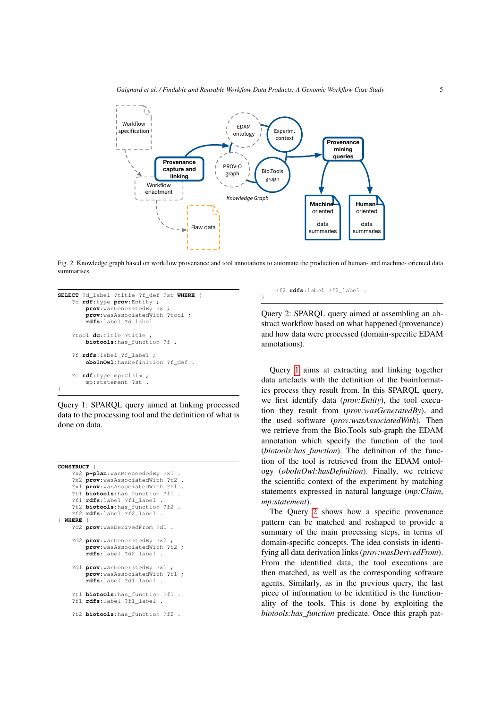

<span id="page-4-0"></span>Fig. 2. Knowledge graph based on workflow provenance and tool annotations to automate the production of human- and machine- oriented data summarises.

}

```
SELECT ?d_label ?title ?f_def ?st WHERE {
    ?d rdf:type prov:Entity ;
        prov:wasGeneratedBy ?x ;
        prov:wasAssociatedWith ?tool ;
        rdfs:label ?d_label .
    ?tool dc:title ?title ;
        biotools:has_function ?f .
    ?f rdfs:label ?f_label ;
        oboInOwl:hasDefinition ?f_def .
    ?c rdf:type mp:Claim ;
        mp:statement ?st
}
```
Query 1: SPARQL query aimed at linking processed data to the processing tool and the definition of what is done on data.

```
CONSTRUCT
    ?x2 p-plan:wasPreceededBy ?x1
    ?x2 prov:wasAssociatedWith ?t2 .
    ?x1 prov:wasAssociatedWith ?t1 .
    ?t1 biotools:has_function ?f1 .
    ?f1 rdfs:label ?f1_label .
    ?t2 biotools:has_function ?f2 .
    ?f2 rdfs:label ?f2_label .
} WHERE {
    ?d2 prov:wasDerivedFrom ?d1 .
    ?d2 prov:wasGeneratedBy ?x2 ;
        prov:wasAssociatedWith ?t2 ;
        rdfs:label ?d2_label .
    ?d1 prov:wasGeneratedBy ?x1 ;
        prov:wasAssociatedWith ?t1 ;
        rdfs:label ?d1_label .
    ?t1 biotools:has_function ?f1 .
    ?f1 rdfs:label ?f1_label .
```

```
?t2 biotools:has_function ?f2 .
```
?f2 **rdfs**:label ?f2\_label .

Query 2: SPARQL query aimed at assembling an abstract workflow based on what happened (provenance) and how data were processed (domain-specific EDAM annotations).

Query [1](#page-4-1) aims at extracting and linking together data artefacts with the definition of the bioinformatics process they result from. In this SPARQL query, we first identify data (*prov:Entity*), the tool execution they result from (*prov:wasGeneratedBy*), and the used software (*prov:wasAssociatedWith*). Then we retrieve from the Bio.Tools sub-graph the EDAM annotation which specify the function of the tool (*biotools:has\_function*). The definition of the function of the tool is retrieved from the EDAM ontology (*oboInOwl:hasDefinition*). Finally, we retrieve the scientific context of the experiment by matching statements expressed in natural language (*mp:Claim*, *mp:statement*).

The Query [2](#page-4-2) shows how a specific provenance pattern can be matched and reshaped to provide a summary of the main processing steps, in terms of domain-specific concepts. The idea consists in identifying all data derivation links (*prov:wasDerivedFrom*). From the identified data, the tool executions are then matched, as well as the corresponding software agents. Similarly, as in the previous query, the last piece of information to be identified is the functionality of the tools. This is done by exploiting the *biotools:has\_function* predicate. Once this graph pat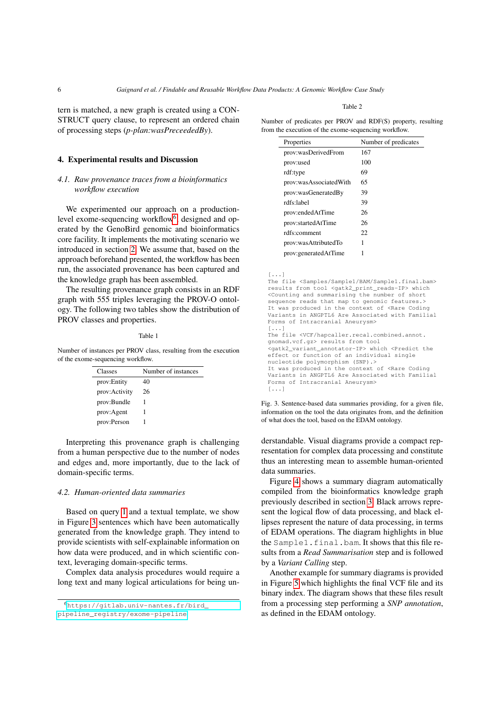tern is matched, a new graph is created using a CON-STRUCT query clause, to represent an ordered chain of processing steps (*p-plan:wasPreceededBy*).

#### <span id="page-5-0"></span>4. Experimental results and Discussion

# *4.1. Raw provenance traces from a bioinformatics workflow execution*

We experimented our approach on a production-level exome-sequencing workflow<sup>[6](#page-5-1)</sup>, designed and operated by the GenoBird genomic and bioinformatics core facility. It implements the motivating scenario we introduced in section [2.](#page-1-1) We assume that, based on the approach beforehand presented, the workflow has been run, the associated provenance has been captured and the knowledge graph has been assembled.

The resulting provenance graph consists in an RDF graph with 555 triples leveraging the PROV-O ontology. The following two tables show the distribution of PROV classes and properties.

### Table 1

Number of instances per PROV class, resulting from the execution of the exome-sequencing workflow.

| Classes        | Number of instances |  |
|----------------|---------------------|--|
| prov:Entity    | 40                  |  |
| prov: Activity | 26                  |  |
| prov:Bundle    | ı                   |  |
| prov:Agent     | ı                   |  |
| prov:Person    |                     |  |

Interpreting this provenance graph is challenging from a human perspective due to the number of nodes and edges and, more importantly, due to the lack of domain-specific terms.

#### *4.2. Human-oriented data summaries*

Based on query [1](#page-4-1) and a textual template, we show in Figure [3](#page-5-2) sentences which have been automatically generated from the knowledge graph. They intend to provide scientists with self-explainable information on how data were produced, and in which scientific context, leveraging domain-specific terms.

Complex data analysis procedures would require a long text and many logical articulations for being unTable 2

Number of predicates per PROV and RDF(S) property, resulting from the execution of the exome-sequencing workflow.

| Properties             | Number of predicates |  |  |
|------------------------|----------------------|--|--|
| prov:wasDerivedFrom    | 167                  |  |  |
| prov:used              | 100                  |  |  |
| rdf:type               | 69                   |  |  |
| prov:wasAssociatedWith | 65                   |  |  |
| prov:wasGeneratedBy    | 39                   |  |  |
| rdfs:label             | 39                   |  |  |
| prov:endedAtTime       | 26                   |  |  |
| prov:startedAtTime     | 26                   |  |  |
| rdfs:comment           | 22                   |  |  |
| prov:wasAttributedTo   | 1                    |  |  |
| prov:generatedAtTime   | 1                    |  |  |

[...]

```
The file <Samples/Sample1/BAM/Sample1.final.bam>
results from tool <gatk2_print_reads-IP> which
<Counting and summarising the number of short
sequence reads that map to genomic features.>
It was produced in the context of <Rare Coding
Variants in ANGPTL6 Are Associated with Familial
Forms of Intracranial Aneurysm>
[...]
The file <VCF/hapcaller.recal.combined.annot.
gnomad.vcf.gz> results from tool
<gatk2_variant_annotator-IP> which <Predict the
effect or function of an individual single
nucleotide polymorphism (SNP).>
It was produced in the context of <Rare Coding
Variants in ANGPTL6 Are Associated with Familial
Forms of Intracranial Aneurysm>
[...]
```
<span id="page-5-2"></span>Fig. 3. Sentence-based data summaries providing, for a given file, information on the tool the data originates from, and the definition of what does the tool, based on the EDAM ontology.

derstandable. Visual diagrams provide a compact representation for complex data processing and constitute thus an interesting mean to assemble human-oriented data summaries.

Figure [4](#page-6-0) shows a summary diagram automatically compiled from the bioinformatics knowledge graph previously described in section [3.](#page-3-0) Black arrows represent the logical flow of data processing, and black ellipses represent the nature of data processing, in terms of EDAM operations. The diagram highlights in blue the Sample1.final.bam. It shows that this file results from a *Read Summarisation* step and is followed by a *Variant Calling* step.

Another example for summary diagrams is provided in Figure [5](#page-6-1) which highlights the final VCF file and its binary index. The diagram shows that these files result from a processing step performing a *SNP annotation*, as defined in the EDAM ontology.

<span id="page-5-1"></span><sup>6</sup>[https://gitlab.univ-nantes.fr/bird\\_](https://gitlab.univ-nantes.fr/bird_pipeline_registry/exome-pipeline) [pipeline\\_registry/exome-pipeline](https://gitlab.univ-nantes.fr/bird_pipeline_registry/exome-pipeline)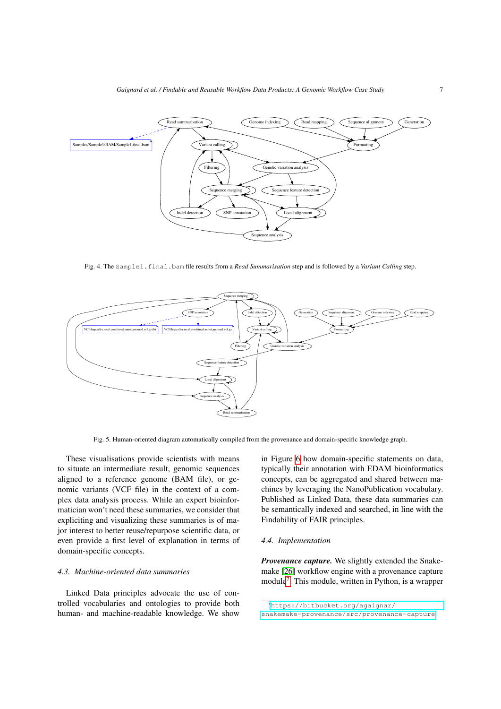

<span id="page-6-0"></span>Fig. 4. The Sample1.final.bam file results from a *Read Summarisation* step and is followed by a *Variant Calling* step.



<span id="page-6-1"></span>Fig. 5. Human-oriented diagram automatically compiled from the provenance and domain-specific knowledge graph.

These visualisations provide scientists with means to situate an intermediate result, genomic sequences aligned to a reference genome (BAM file), or genomic variants (VCF file) in the context of a complex data analysis process. While an expert bioinformatician won't need these summaries, we consider that expliciting and visualizing these summaries is of major interest to better reuse/repurpose scientific data, or even provide a first level of explanation in terms of domain-specific concepts.

#### *4.3. Machine-oriented data summaries*

Linked Data principles advocate the use of controlled vocabularies and ontologies to provide both human- and machine-readable knowledge. We show in Figure [6](#page-7-0) how domain-specific statements on data, typically their annotation with EDAM bioinformatics concepts, can be aggregated and shared between machines by leveraging the NanoPublication vocabulary. Published as Linked Data, these data summaries can be semantically indexed and searched, in line with the Findability of FAIR principles.

#### *4.4. Implementation*

*Provenance capture.* We slightly extended the Snakemake [\[26\]](#page-12-1) workflow engine with a provenance capture module<sup>[7](#page-6-2)</sup>. This module, written in Python, is a wrapper

<span id="page-6-2"></span><sup>7</sup>[https://bitbucket.org/agaignar/](https://bitbucket.org/agaignar/snakemake-provenance/src/provenance-capture) [snakemake-provenance/src/provenance-capture](https://bitbucket.org/agaignar/snakemake-provenance/src/provenance-capture)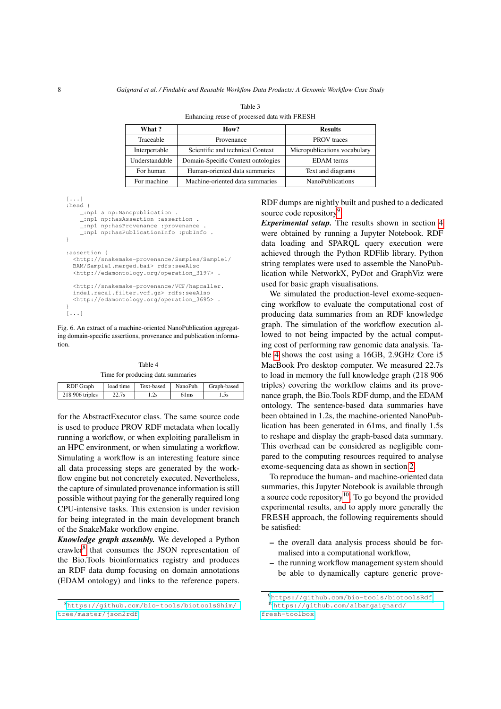| What?          | How?                               | <b>Results</b>               |  |
|----------------|------------------------------------|------------------------------|--|
| Traceable      | Provenance                         | PROV traces                  |  |
| Interpertable  | Scientific and technical Context   | Micropublications vocabulary |  |
| Understandable | Domain-Specific Context ontologies | <b>EDAM</b> terms            |  |
| For human      | Human-oriented data summaries      | Text and diagrams            |  |
| For machine    | Machine-oriented data summaries    | <b>NanoPublications</b>      |  |

<span id="page-7-5"></span>Table 3 Enhancing reuse of processed data with FRESH

```
[...]
```

```
:head {
   _:np1 a np:Nanopublication .
   _:np1 np:hasAssertion :assertion .
   _:np1 np:hasProvenance :provenance .
    _:np1 np:hasPublicationInfo :pubInfo .
}
:assertion {
  <http://snakemake-provenance/Samples/Sample1/
 BAM/Sample1.merged.bai> rdfs:seeAlso
  <http://edamontology.org/operation_3197> .
  <http://snakemake-provenance/VCF/hapcaller.
  indel.recal.filter.vcf.gz> rdfs:seeAlso
  <http://edamontology.org/operation_3695> .
```
}  $[\ldots]$ 

<span id="page-7-0"></span>Fig. 6. An extract of a machine-oriented NanoPublication aggregating domain-specific assertions, provenance and publication information.

<span id="page-7-3"></span>Table 4 Time for producing data summaries

| RDF Graph          | load time | Text-based | NanoPub.         | Graph-based |
|--------------------|-----------|------------|------------------|-------------|
| $218\,906$ triples | 22.7s     |            | 61 <sub>ms</sub> |             |

for the AbstractExecutor class. The same source code is used to produce PROV RDF metadata when locally running a workflow, or when exploiting parallelism in an HPC environment, or when simulating a workflow. Simulating a workflow is an interesting feature since all data processing steps are generated by the workflow engine but not concretely executed. Nevertheless, the capture of simulated provenance information is still possible without paying for the generally required long CPU-intensive tasks. This extension is under revision for being integrated in the main development branch of the SnakeMake workflow engine.

*Knowledge graph assembly.* We developed a Python crawler<sup>[8](#page-7-1)</sup> that consumes the JSON representation of the Bio.Tools bioinformatics registry and produces an RDF data dump focusing on domain annotations (EDAM ontology) and links to the reference papers. RDF dumps are nightly built and pushed to a dedicated source code repository<sup>[9](#page-7-2)</sup>.

*Experimental setup.* The results shown in section [4](#page-5-0) were obtained by running a Jupyter Notebook. RDF data loading and SPARQL query execution were achieved through the Python RDFlib library. Python string templates were used to assemble the NanoPublication while NetworkX, PyDot and GraphViz were used for basic graph visualisations.

We simulated the production-level exome-sequencing workflow to evaluate the computational cost of producing data summaries from an RDF knowledge graph. The simulation of the workflow execution allowed to not being impacted by the actual computing cost of performing raw genomic data analysis. Table [4](#page-7-3) shows the cost using a 16GB, 2.9GHz Core i5 MacBook Pro desktop computer. We measured 22.7s to load in memory the full knowledge graph (218 906 triples) covering the workflow claims and its provenance graph, the Bio.Tools RDF dump, and the EDAM ontology. The sentence-based data summaries have been obtained in 1.2s, the machine-oriented NanoPublication has been generated in 61ms, and finally 1.5s to reshape and display the graph-based data summary. This overhead can be considered as negligible compared to the computing resources required to analyse exome-sequencing data as shown in section [2.](#page-1-1)

To reproduce the human- and machine-oriented data summaries, this Jupyter Notebook is available through a source code repository<sup>[10](#page-7-4)</sup>. To go beyond the provided experimental results, and to apply more generally the FRESH approach, the following requirements should be satisfied:

- the overall data analysis process should be formalised into a computational workflow,
- the running workflow management system should be able to dynamically capture generic prove-

<span id="page-7-1"></span><sup>8</sup>[https://github.com/bio-tools/biotoolsShim/](https://github.com/bio-tools/biotoolsShim/tree/master/json2rdf) [tree/master/json2rdf](https://github.com/bio-tools/biotoolsShim/tree/master/json2rdf)

<span id="page-7-4"></span><span id="page-7-2"></span><sup>9</sup><https://github.com/bio-tools/biotoolsRdf> <sup>10</sup>[https://github.com/albangaignard/](https://github.com/albangaignard/fresh-toolbox) [fresh-toolbox](https://github.com/albangaignard/fresh-toolbox)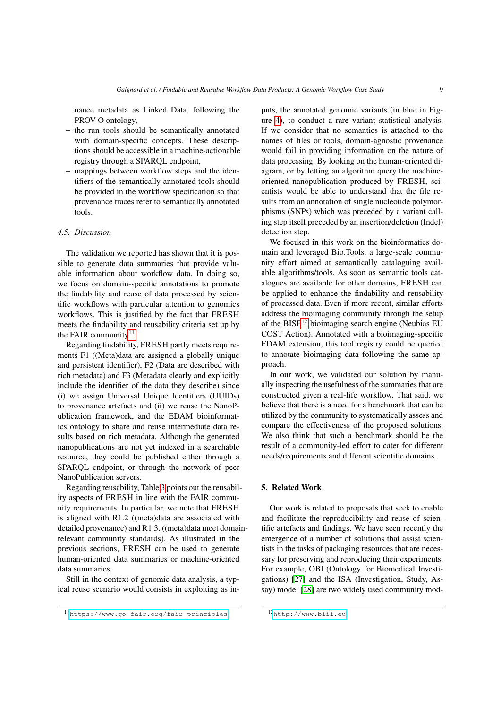nance metadata as Linked Data, following the PROV-O ontology,

- the run tools should be semantically annotated with domain-specific concepts. These descriptions should be accessible in a machine-actionable registry through a SPARQL endpoint,
- mappings between workflow steps and the identifiers of the semantically annotated tools should be provided in the workflow specification so that provenance traces refer to semantically annotated tools.

# *4.5. Discussion*

The validation we reported has shown that it is possible to generate data summaries that provide valuable information about workflow data. In doing so, we focus on domain-specific annotations to promote the findability and reuse of data processed by scientific workflows with particular attention to genomics workflows. This is justified by the fact that FRESH meets the findability and reusability criteria set up by the FAIR community<sup>[11](#page-8-1)</sup>.

Regarding findability, FRESH partly meets requirements F1 ((Meta)data are assigned a globally unique and persistent identifier), F2 (Data are described with rich metadata) and F3 (Metadata clearly and explicitly include the identifier of the data they describe) since (i) we assign Universal Unique Identifiers (UUIDs) to provenance artefacts and (ii) we reuse the NanoPublication framework, and the EDAM bioinformatics ontology to share and reuse intermediate data results based on rich metadata. Although the generated nanopublications are not yet indexed in a searchable resource, they could be published either through a SPARQL endpoint, or through the network of peer NanoPublication servers.

Regarding reusability, Table [3](#page-7-5) points out the reusability aspects of FRESH in line with the FAIR community requirements. In particular, we note that FRESH is aligned with R1.2 ((meta)data are associated with detailed provenance) and R1.3. ((meta)data meet domainrelevant community standards). As illustrated in the previous sections, FRESH can be used to generate human-oriented data summaries or machine-oriented data summaries.

Still in the context of genomic data analysis, a typical reuse scenario would consists in exploiting as inputs, the annotated genomic variants (in blue in Figure [4\)](#page-6-0), to conduct a rare variant statistical analysis. If we consider that no semantics is attached to the names of files or tools, domain-agnostic provenance would fail in providing information on the nature of data processing. By looking on the human-oriented diagram, or by letting an algorithm query the machineoriented nanopublication produced by FRESH, scientists would be able to understand that the file results from an annotation of single nucleotide polymorphisms (SNPs) which was preceded by a variant calling step itself preceded by an insertion/deletion (Indel) detection step.

We focused in this work on the bioinformatics domain and leveraged Bio.Tools, a large-scale community effort aimed at semantically cataloguing available algorithms/tools. As soon as semantic tools catalogues are available for other domains, FRESH can be applied to enhance the findability and reusability of processed data. Even if more recent, similar efforts address the bioimaging community through the setup of the  $BISE^{12}$  $BISE^{12}$  $BISE^{12}$  bioimaging search engine (Neubias EU COST Action). Annotated with a bioimaging-specific EDAM extension, this tool registry could be queried to annotate bioimaging data following the same approach.

In our work, we validated our solution by manually inspecting the usefulness of the summaries that are constructed given a real-life workflow. That said, we believe that there is a need for a benchmark that can be utilized by the community to systematically assess and compare the effectiveness of the proposed solutions. We also think that such a benchmark should be the result of a community-led effort to cater for different needs/requirements and different scientific domains.

# <span id="page-8-0"></span>5. Related Work

Our work is related to proposals that seek to enable and facilitate the reproducibility and reuse of scientific artefacts and findings. We have seen recently the emergence of a number of solutions that assist scientists in the tasks of packaging resources that are necessary for preserving and reproducing their experiments. For example, OBI (Ontology for Biomedical Investigations) [\[27\]](#page-12-2) and the ISA (Investigation, Study, Assay) model [\[28\]](#page-12-3) are two widely used community mod-

<span id="page-8-1"></span><sup>11</sup><https://www.go-fair.org/fair-principles>

<span id="page-8-2"></span><sup>12</sup><http://www.biii.eu>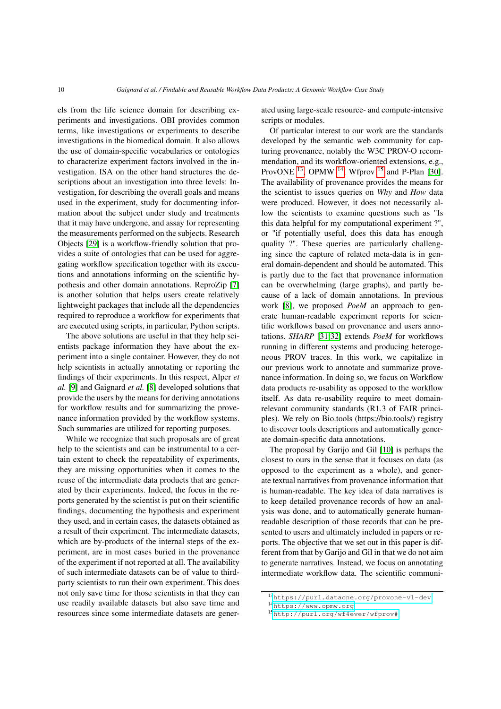els from the life science domain for describing experiments and investigations. OBI provides common terms, like investigations or experiments to describe investigations in the biomedical domain. It also allows the use of domain-specific vocabularies or ontologies to characterize experiment factors involved in the investigation. ISA on the other hand structures the descriptions about an investigation into three levels: Investigation, for describing the overall goals and means used in the experiment, study for documenting information about the subject under study and treatments that it may have undergone, and assay for representing the measurements performed on the subjects. Research Objects [\[29\]](#page-12-4) is a workflow-friendly solution that provides a suite of ontologies that can be used for aggregating workflow specification together with its executions and annotations informing on the scientific hypothesis and other domain annotations. ReproZip [\[7\]](#page-11-6) is another solution that helps users create relatively lightweight packages that include all the dependencies required to reproduce a workflow for experiments that are executed using scripts, in particular, Python scripts.

The above solutions are useful in that they help scientists package information they have about the experiment into a single container. However, they do not help scientists in actually annotating or reporting the findings of their experiments. In this respect, Alper *et al.* [\[9\]](#page-11-8) and Gaignard *et al.* [\[8\]](#page-11-7) developed solutions that provide the users by the means for deriving annotations for workflow results and for summarizing the provenance information provided by the workflow systems. Such summaries are utilized for reporting purposes.

While we recognize that such proposals are of great help to the scientists and can be instrumental to a certain extent to check the repeatability of experiments, they are missing opportunities when it comes to the reuse of the intermediate data products that are generated by their experiments. Indeed, the focus in the reports generated by the scientist is put on their scientific findings, documenting the hypothesis and experiment they used, and in certain cases, the datasets obtained as a result of their experiment. The intermediate datasets, which are by-products of the internal steps of the experiment, are in most cases buried in the provenance of the experiment if not reported at all. The availability of such intermediate datasets can be of value to thirdparty scientists to run their own experiment. This does not only save time for those scientists in that they can use readily available datasets but also save time and resources since some intermediate datasets are generated using large-scale resource- and compute-intensive scripts or modules.

Of particular interest to our work are the standards developed by the semantic web community for capturing provenance, notably the W3C PROV-O recommendation, and its workflow-oriented extensions, e.g., ProvONE  $^{13}$  $^{13}$  $^{13}$ , OPMW  $^{14}$  $^{14}$  $^{14}$ , Wfprov  $^{15}$  $^{15}$  $^{15}$  and P-Plan [\[30\]](#page-12-5). The availability of provenance provides the means for the scientist to issues queries on *Why* and *How* data were produced. However, it does not necessarily allow the scientists to examine questions such as "Is this data helpful for my computational experiment ?", or "if potentially useful, does this data has enough quality ?". These queries are particularly challenging since the capture of related meta-data is in general domain-dependent and should be automated. This is partly due to the fact that provenance information can be overwhelming (large graphs), and partly because of a lack of domain annotations. In previous work [\[8\]](#page-11-7), we proposed *PoeM* an approach to generate human-readable experiment reports for scientific workflows based on provenance and users annotations. *SHARP* [\[31,](#page-12-6)[32\]](#page-12-7) extends *PoeM* for workflows running in different systems and producing heterogeneous PROV traces. In this work, we capitalize in our previous work to annotate and summarize provenance information. In doing so, we focus on Workflow data products re-usability as opposed to the workflow itself. As data re-usability require to meet domainrelevant community standards (R1.3 of FAIR principles). We rely on Bio.tools (https://bio.tools/) registry to discover tools descriptions and automatically generate domain-specific data annotations.

The proposal by Garijo and Gil [\[10\]](#page-11-9) is perhaps the closest to ours in the sense that it focuses on data (as opposed to the experiment as a whole), and generate textual narratives from provenance information that is human-readable. The key idea of data narratives is to keep detailed provenance records of how an analysis was done, and to automatically generate humanreadable description of those records that can be presented to users and ultimately included in papers or reports. The objective that we set out in this paper is different from that by Garijo and Gil in that we do not aim to generate narratives. Instead, we focus on annotating intermediate workflow data. The scientific communi-

<span id="page-9-1"></span><span id="page-9-0"></span><sup>13</sup><https://purl.dataone.org/provone-v1-dev> <sup>14</sup><https://www.opmw.org>

<span id="page-9-2"></span><sup>15</sup><http://purl.org/wf4ever/wfprov#>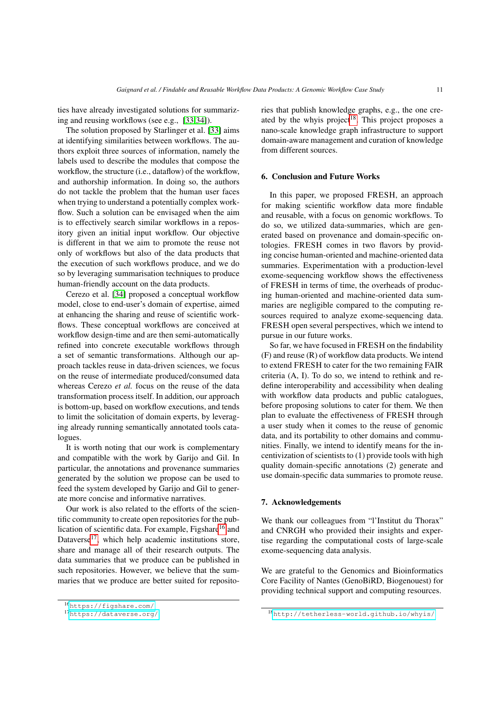ties have already investigated solutions for summarizing and reusing workflows (see e.g., [\[33](#page-12-8)[,34\]](#page-12-9)).

The solution proposed by Starlinger et al. [\[33\]](#page-12-8) aims at identifying similarities between workflows. The authors exploit three sources of information, namely the labels used to describe the modules that compose the workflow, the structure (i.e., dataflow) of the workflow, and authorship information. In doing so, the authors do not tackle the problem that the human user faces when trying to understand a potentially complex workflow. Such a solution can be envisaged when the aim is to effectively search similar workflows in a repository given an initial input workflow. Our objective is different in that we aim to promote the reuse not only of workflows but also of the data products that the execution of such workflows produce, and we do so by leveraging summarisation techniques to produce human-friendly account on the data products.

Cerezo et al. [\[34\]](#page-12-9) proposed a conceptual workflow model, close to end-user's domain of expertise, aimed at enhancing the sharing and reuse of scientific workflows. These conceptual workflows are conceived at workflow design-time and are then semi-automatically refined into concrete executable workflows through a set of semantic transformations. Although our approach tackles reuse in data-driven sciences, we focus on the reuse of intermediate produced/consumed data whereas Cerezo *et al.* focus on the reuse of the data transformation process itself. In addition, our approach is bottom-up, based on workflow executions, and tends to limit the solicitation of domain experts, by leveraging already running semantically annotated tools catalogues.

It is worth noting that our work is complementary and compatible with the work by Garijo and Gil. In particular, the annotations and provenance summaries generated by the solution we propose can be used to feed the system developed by Garijo and Gil to generate more concise and informative narratives.

Our work is also related to the efforts of the scientific community to create open repositories for the pub-lication of scientific data. For example, Figshare<sup>[16](#page-10-1)</sup> and Dataverse<sup>[17](#page-10-2)</sup>, which help academic institutions store, share and manage all of their research outputs. The data summaries that we produce can be published in such repositories. However, we believe that the summaries that we produce are better suited for repositories that publish knowledge graphs, e.g., the one cre-ated by the whyis project<sup>[18](#page-10-3)</sup>. This project proposes a nano-scale knowledge graph infrastructure to support domain-aware management and curation of knowledge from different sources.

#### <span id="page-10-0"></span>6. Conclusion and Future Works

In this paper, we proposed FRESH, an approach for making scientific workflow data more findable and reusable, with a focus on genomic workflows. To do so, we utilized data-summaries, which are generated based on provenance and domain-specific ontologies. FRESH comes in two flavors by providing concise human-oriented and machine-oriented data summaries. Experimentation with a production-level exome-sequencing workflow shows the effectiveness of FRESH in terms of time, the overheads of producing human-oriented and machine-oriented data summaries are negligible compared to the computing resources required to analyze exome-sequencing data. FRESH open several perspectives, which we intend to pursue in our future works.

So far, we have focused in FRESH on the findability (F) and reuse (R) of workflow data products. We intend to extend FRESH to cater for the two remaining FAIR criteria (A, I). To do so, we intend to rethink and redefine interoperability and accessibility when dealing with workflow data products and public catalogues, before proposing solutions to cater for them. We then plan to evaluate the effectiveness of FRESH through a user study when it comes to the reuse of genomic data, and its portability to other domains and communities. Finally, we intend to identify means for the incentivization of scientists to (1) provide tools with high quality domain-specific annotations (2) generate and use domain-specific data summaries to promote reuse.

#### 7. Acknowledgements

We thank our colleagues from "l'Institut du Thorax" and CNRGH who provided their insights and expertise regarding the computational costs of large-scale exome-sequencing data analysis.

We are grateful to the Genomics and Bioinformatics Core Facility of Nantes (GenoBiRD, Biogenouest) for providing technical support and computing resources.

<span id="page-10-1"></span><sup>16</sup><https://figshare.com/>

<span id="page-10-2"></span><sup>17</sup><https://dataverse.org/>

<span id="page-10-3"></span><sup>18</sup><http://tetherless-world.github.io/whyis/>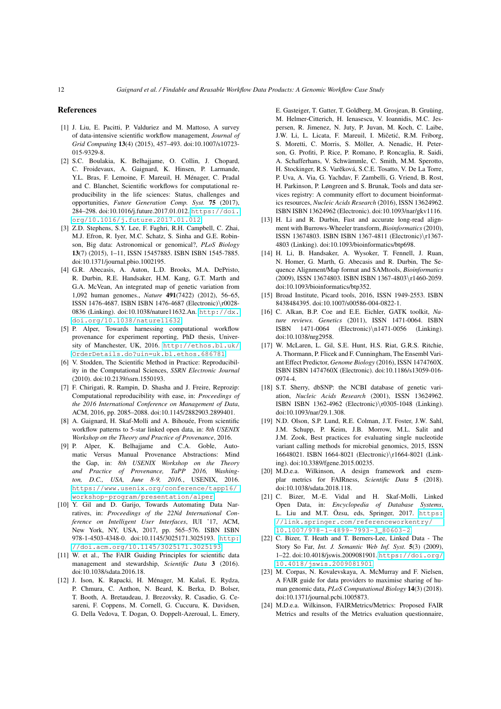# References

- <span id="page-11-0"></span>[1] J. Liu, E. Pacitti, P. Valduriez and M. Mattoso, A survey of data-intensive scientific workflow management, *Journal of Grid Computing* 13(4) (2015), 457–493. doi:10.1007/s10723- 015-9329-8.
- <span id="page-11-1"></span>[2] S.C. Boulakia, K. Belhajjame, O. Collin, J. Chopard, C. Froidevaux, A. Gaignard, K. Hinsen, P. Larmande, Y.L. Bras, F. Lemoine, F. Mareuil, H. Ménager, C. Pradal and C. Blanchet, Scientific workflows for computational reproducibility in the life sciences: Status, challenges and opportunities, *Future Generation Comp. Syst.* 75 (2017), 284–298. doi:10.1016/j.future.2017.01.012. [https://doi.](https://doi.org/10.1016/j.future.2017.01.012) [org/10.1016/j.future.2017.01.012](https://doi.org/10.1016/j.future.2017.01.012).
- <span id="page-11-2"></span>[3] Z.D. Stephens, S.Y. Lee, F. Faghri, R.H. Campbell, C. Zhai, M.J. Efron, R. Iyer, M.C. Schatz, S. Sinha and G.E. Robinson, Big data: Astronomical or genomical?, *PLoS Biology* 13(7) (2015), 1–11, ISSN 15457885. ISBN ISBN 1545-7885. doi:10.1371/journal.pbio.1002195.
- <span id="page-11-3"></span>[4] G.R. Abecasis, A. Auton, L.D. Brooks, M.A. DePristo, R. Durbin, R.E. Handsaker, H.M. Kang, G.T. Marth and G.A. McVean, An integrated map of genetic variation from 1,092 human genomes., *Nature* 491(7422) (2012), 56–65, ISSN 1476-4687. ISBN ISBN 1476-4687 (Electronic)\r0028- 0836 (Linking). doi:10.1038/nature11632.An. [http://dx.](http://dx.doi.org/10.1038/nature11632) [doi.org/10.1038/nature11632](http://dx.doi.org/10.1038/nature11632).
- <span id="page-11-4"></span>[5] P. Alper, Towards harnessing computational workflow provenance for experiment reporting, PhD thesis, University of Manchester, UK, 2016. [http://ethos.bl.uk/](http://ethos.bl.uk/OrderDetails.do?uin=uk.bl.ethos.686781) [OrderDetails.do?uin=uk.bl.ethos.686781](http://ethos.bl.uk/OrderDetails.do?uin=uk.bl.ethos.686781).
- <span id="page-11-5"></span>[6] V. Stodden, The Scientific Method in Practice: Reproducibility in the Computational Sciences, *SSRN Electronic Journal* (2010). doi:10.2139/ssrn.1550193.
- <span id="page-11-6"></span>[7] F. Chirigati, R. Rampin, D. Shasha and J. Freire, Reprozip: Computational reproducibility with ease, in: *Proceedings of the 2016 International Conference on Management of Data*, ACM, 2016, pp. 2085–2088. doi:10.1145/2882903.2899401.
- <span id="page-11-7"></span>[8] A. Gaignard, H. Skaf-Molli and A. Bihouée, From scientific workflow patterns to 5-star linked open data, in: *8th USENIX Workshop on the Theory and Practice of Provenance*, 2016.
- <span id="page-11-8"></span>[9] P. Alper, K. Belhajjame and C.A. Goble, Automatic Versus Manual Provenance Abstractions: Mind the Gap, in: *8th USENIX Workshop on the Theory and Practice of Provenance, TaPP 2016, Washington, D.C., USA, June 8-9, 2016.*, USENIX, 2016. [https://www.usenix.org/conference/tapp16/](https://www.usenix.org/conference/tapp16/workshop-program/presentation/alper) [workshop-program/presentation/alper](https://www.usenix.org/conference/tapp16/workshop-program/presentation/alper).
- <span id="page-11-9"></span>[10] Y. Gil and D. Garijo, Towards Automating Data Narratives, in: *Proceedings of the 22Nd International Conference on Intelligent User Interfaces*, IUI '17, ACM, New York, NY, USA, 2017, pp. 565–576. ISBN ISBN 978-1-4503-4348-0. doi:10.1145/3025171.3025193. [http:](http://doi.acm.org/10.1145/3025171.3025193) [//doi.acm.org/10.1145/3025171.3025193](http://doi.acm.org/10.1145/3025171.3025193).
- <span id="page-11-10"></span>[11] W. et al., The FAIR Guiding Principles for scientific data management and stewardship, *Scientific Data* 3 (2016). doi:10.1038/sdata.2016.18.
- <span id="page-11-11"></span>[12] J. Ison, K. Rapacki, H. Ménager, M. Kalaš, E. Rydza, P. Chmura, C. Anthon, N. Beard, K. Berka, D. Bolser, T. Booth, A. Bretaudeau, J. Brezovsky, R. Casadio, G. Cesareni, F. Coppens, M. Cornell, G. Cuccuru, K. Davidsen, G. Della Vedova, T. Dogan, O. Doppelt-Azeroual, L. Emery,

E. Gasteiger, T. Gatter, T. Goldberg, M. Grosjean, B. Gruüing, M. Helmer-Citterich, H. Ienasescu, V. Ioannidis, M.C. Jespersen, R. Jimenez, N. Juty, P. Juvan, M. Koch, C. Laibe, J.W. Li, L. Licata, F. Mareuil, I. Mičetić, R.M. Friborg, S. Moretti, C. Morris, S. Möller, A. Nenadic, H. Peterson, G. Profiti, P. Rice, P. Romano, P. Roncaglia, R. Saidi, A. Schafferhans, V. Schwämmle, C. Smith, M.M. Sperotto, H. Stockinger, R.S. Varěková, S.C.E. Tosatto, V. De La Torre, P. Uva, A. Via, G. Yachdav, F. Zambelli, G. Vriend, B. Rost, H. Parkinson, P. Løngreen and S. Brunak, Tools and data services registry: A community effort to document bioinformatics resources, *Nucleic Acids Research* (2016), ISSN 13624962. ISBN ISBN 13624962 (Electronic). doi:10.1093/nar/gkv1116.

- <span id="page-11-12"></span>[13] H. Li and R. Durbin, Fast and accurate long-read alignment with Burrows-Wheeler transform, *Bioinformatics* (2010), ISSN 13674803. ISBN ISBN 1367-4811 (Electronic)\r1367- 4803 (Linking). doi:10.1093/bioinformatics/btp698.
- <span id="page-11-13"></span>[14] H. Li, B. Handsaker, A. Wysoker, T. Fennell, J. Ruan, N. Homer, G. Marth, G. Abecasis and R. Durbin, The Sequence Alignment/Map format and SAMtools, *Bioinformatics* (2009), ISSN 13674803. ISBN ISBN 1367-4803\r1460-2059. doi:10.1093/bioinformatics/btp352.
- <span id="page-11-14"></span>[15] Broad Institute, Picard tools, 2016, ISSN 1949-2553. ISBN 8438484395. doi:10.1007/s00586-004-0822-1.
- <span id="page-11-15"></span>[16] C. Alkan, B.P. Coe and E.E. Eichler, GATK toolkit, Na*ture reviews. Genetics* (2011), ISSN 1471-0064. ISBN ISBN 1471-0064 (Electronic)\n1471-0056 (Linking). doi:10.1038/nrg2958.
- <span id="page-11-16"></span>[17] W. McLaren, L. Gil, S.E. Hunt, H.S. Riat, G.R.S. Ritchie, A. Thormann, P. Flicek and F. Cunningham, The Ensembl Variant Effect Predictor, *Genome Biology* (2016), ISSN 1474760X. ISBN ISBN 1474760X (Electronic). doi:10.1186/s13059-016- 0974-4.
- <span id="page-11-17"></span>[18] S.T. Sherry, dbSNP: the NCBI database of genetic variation, *Nucleic Acids Research* (2001), ISSN 13624962. ISBN ISBN 1362-4962 (Electronic)\r0305-1048 (Linking). doi:10.1093/nar/29.1.308.
- <span id="page-11-18"></span>[19] N.D. Olson, S.P. Lund, R.E. Colman, J.T. Foster, J.W. Sahl, J.M. Schupp, P. Keim, J.B. Morrow, M.L. Salit and J.M. Zook, Best practices for evaluating single nucleotide variant calling methods for microbial genomics, 2015, ISSN 16648021. ISBN 1664-8021 (Electronic)\r1664-8021 (Linking). doi:10.3389/fgene.2015.00235.
- <span id="page-11-19"></span>[20] M.D.e.a. Wilkinson, A design framework and exemplar metrics for FAIRness, *Scientific Data* 5 (2018). doi:10.1038/sdata.2018.118.
- <span id="page-11-20"></span>[21] C. Bizer, M.-E. Vidal and H. Skaf-Molli, Linked Open Data, in: *Encyclopedia of Database Systems*, L. Liu and M.T. Özsu, eds, Springer, 2017. [https:](https://link.springer.com/referenceworkentry/10.1007/978-1-4899-7993-3_80603-2) [//link.springer.com/referenceworkentry/](https://link.springer.com/referenceworkentry/10.1007/978-1-4899-7993-3_80603-2) [10.1007/978-1-4899-7993-3\\_80603-2](https://link.springer.com/referenceworkentry/10.1007/978-1-4899-7993-3_80603-2).
- <span id="page-11-21"></span>[22] C. Bizer, T. Heath and T. Berners-Lee, Linked Data - The Story So Far, *Int. J. Semantic Web Inf. Syst.* 5(3) (2009), 1–22. doi:10.4018/jswis.2009081901. [https://doi.org/](https://doi.org/10.4018/jswis.2009081901) [10.4018/jswis.2009081901](https://doi.org/10.4018/jswis.2009081901).
- <span id="page-11-22"></span>[23] M. Corpas, N. Kovalevskaya, A. McMurray and F. Nielsen, A FAIR guide for data providers to maximise sharing of human genomic data, *PLoS Computational Biology* 14(3) (2018). doi:10.1371/journal.pcbi.1005873.
- <span id="page-11-23"></span>[24] M.D.e.a. Wilkinson, FAIRMetrics/Metrics: Proposed FAIR Metrics and results of the Metrics evaluation questionnaire,